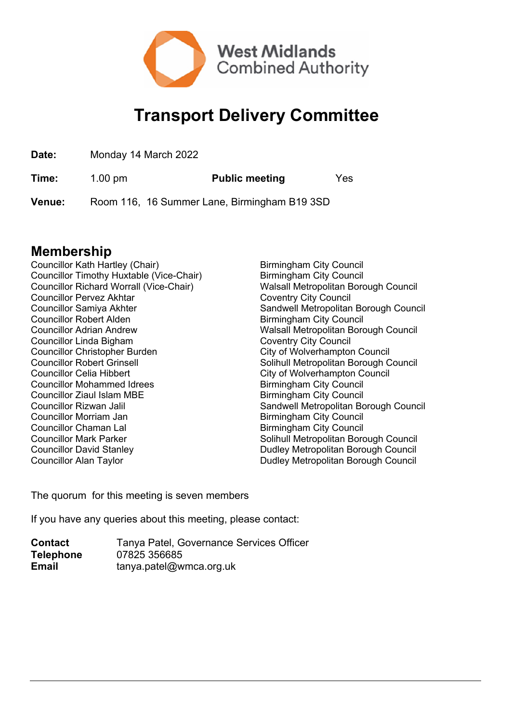

## **Transport Delivery Committee**

| Date: | Monday 14 March 2022 |
|-------|----------------------|
|       |                      |

**Time:** 1.00 pm **Public meeting** Yes

**Venue:** Room 116, 16 Summer Lane, Birmingham B19 3SD

## **Membership**

Councillor Kath Hartley (Chair) Birmingham City Council Councillor Timothy Huxtable (Vice-Chair) Birmingham City Council Councillor Richard Worrall (Vice-Chair) Walsall Metropolitan Borough Council Councillor Pervez Akhtar Coventry City Council Councillor Robert Alden Birmingham City Council Councillor Linda Bigham Coventry City Council Councillor Christopher Burden<br>
Councillor Robert Grinsell<br>
Councillor Robert Grinsell<br>
Councillor Robert Grinsell<br>
Councillor Robert Grinsell Councillor Celia Hibbert City of Wolverhampton Council Councillor Mohammed Idrees Birmingham City Council Councillor Ziaul Islam MBE Birmingham City Council Councillor Morriam Jan Birmingham City Council Councillor Chaman Lal Birmingham City Council Councillor David Stanley **Dudley Metropolitan Borough Council** Councillor Alan Taylor **Councillor Alan Taylor Dudley Metropolitan Borough Council** 

Councillor Samiya Akhter Sandwell Metropolitan Borough Council Councillor Adrian Andrew Walsall Metropolitan Borough Council Solihull Metropolitan Borough Council Councillor Rizwan Jalil Sandwell Metropolitan Borough Council Councillor Mark Parker Solihull Metropolitan Borough Council

The quorum for this meeting is seven members

If you have any queries about this meeting, please contact:

| <b>Contact</b>   | Tanya Patel, Governance Services Officer |
|------------------|------------------------------------------|
| <b>Telephone</b> | 07825 356685                             |
| <b>Email</b>     | tanya.patel@wmca.org.uk                  |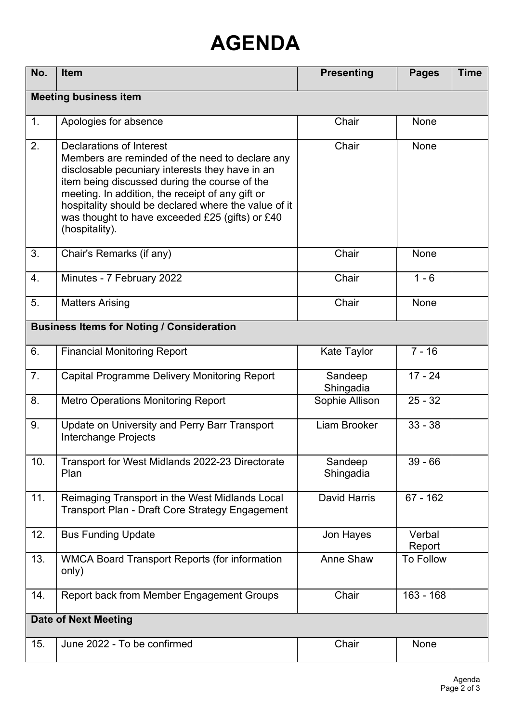## **AGENDA**

| No.                                              | <b>Item</b>                                                                                                                                                                                                                                                                                                                                                      | <b>Presenting</b>    | <b>Pages</b>     | <b>Time</b> |  |  |
|--------------------------------------------------|------------------------------------------------------------------------------------------------------------------------------------------------------------------------------------------------------------------------------------------------------------------------------------------------------------------------------------------------------------------|----------------------|------------------|-------------|--|--|
| <b>Meeting business item</b>                     |                                                                                                                                                                                                                                                                                                                                                                  |                      |                  |             |  |  |
| 1.                                               | Apologies for absence                                                                                                                                                                                                                                                                                                                                            | Chair                | <b>None</b>      |             |  |  |
| 2.                                               | Declarations of Interest<br>Members are reminded of the need to declare any<br>disclosable pecuniary interests they have in an<br>item being discussed during the course of the<br>meeting. In addition, the receipt of any gift or<br>hospitality should be declared where the value of it<br>was thought to have exceeded £25 (gifts) or £40<br>(hospitality). | Chair                | <b>None</b>      |             |  |  |
| 3.                                               | Chair's Remarks (if any)                                                                                                                                                                                                                                                                                                                                         | Chair                | None             |             |  |  |
| 4.                                               | Minutes - 7 February 2022                                                                                                                                                                                                                                                                                                                                        | Chair                | $1 - 6$          |             |  |  |
| 5.                                               | <b>Matters Arising</b>                                                                                                                                                                                                                                                                                                                                           | Chair                | None             |             |  |  |
| <b>Business Items for Noting / Consideration</b> |                                                                                                                                                                                                                                                                                                                                                                  |                      |                  |             |  |  |
| 6.                                               | <b>Financial Monitoring Report</b>                                                                                                                                                                                                                                                                                                                               | Kate Taylor          | $7 - 16$         |             |  |  |
| 7.                                               | Capital Programme Delivery Monitoring Report                                                                                                                                                                                                                                                                                                                     | Sandeep<br>Shingadia | $17 - 24$        |             |  |  |
| 8.                                               | <b>Metro Operations Monitoring Report</b>                                                                                                                                                                                                                                                                                                                        | Sophie Allison       | $25 - 32$        |             |  |  |
| 9.                                               | Update on University and Perry Barr Transport<br>Interchange Projects                                                                                                                                                                                                                                                                                            | Liam Brooker         | $33 - 38$        |             |  |  |
| 10.                                              | Transport for West Midlands 2022-23 Directorate<br>Plan                                                                                                                                                                                                                                                                                                          | Sandeep<br>Shingadia | $39 - 66$        |             |  |  |
| 11.                                              | Reimaging Transport in the West Midlands Local<br>Transport Plan - Draft Core Strategy Engagement                                                                                                                                                                                                                                                                | David Harris         | $67 - 162$       |             |  |  |
| 12.                                              | <b>Bus Funding Update</b>                                                                                                                                                                                                                                                                                                                                        | Jon Hayes            | Verbal<br>Report |             |  |  |
| 13.                                              | WMCA Board Transport Reports (for information<br>only)                                                                                                                                                                                                                                                                                                           | Anne Shaw            | <b>To Follow</b> |             |  |  |
| 14.                                              | Report back from Member Engagement Groups                                                                                                                                                                                                                                                                                                                        | Chair                | $163 - 168$      |             |  |  |
| <b>Date of Next Meeting</b>                      |                                                                                                                                                                                                                                                                                                                                                                  |                      |                  |             |  |  |
| 15.                                              | June 2022 - To be confirmed                                                                                                                                                                                                                                                                                                                                      | Chair                | None             |             |  |  |